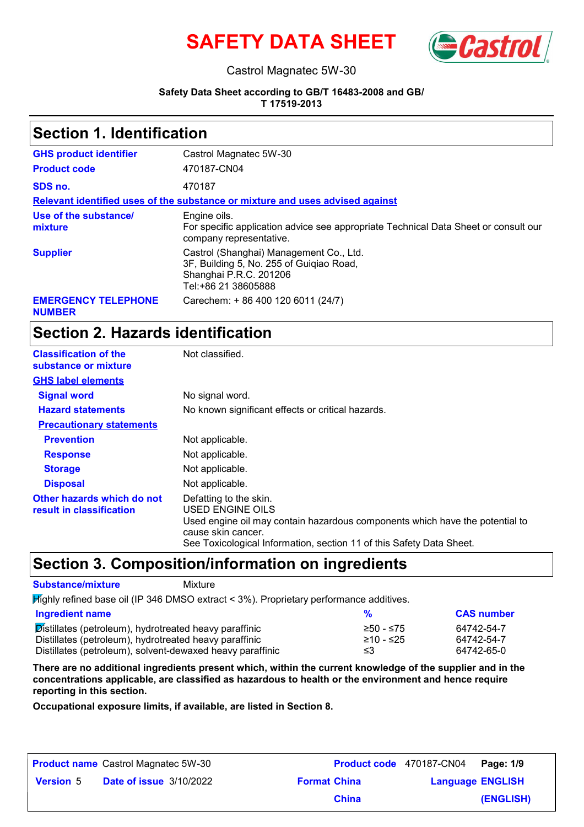



#### Castrol Magnatec 5W-30

#### **Safety Data Sheet according to GB/T 16483-2008 and GB/**

**T 17519-2013**

### **Section 1. Identification**

| <b>GHS product identifier</b>               | Castrol Magnatec 5W-30                                                                                                               |
|---------------------------------------------|--------------------------------------------------------------------------------------------------------------------------------------|
| <b>Product code</b>                         | 470187-CN04                                                                                                                          |
| SDS no.                                     | 470187                                                                                                                               |
|                                             | Relevant identified uses of the substance or mixture and uses advised against                                                        |
| Use of the substance/<br>mixture            | Engine oils.<br>For specific application advice see appropriate Technical Data Sheet or consult our<br>company representative.       |
| <b>Supplier</b>                             | Castrol (Shanghai) Management Co., Ltd.<br>3F, Building 5, No. 255 of Guigiao Road,<br>Shanghai P.R.C. 201206<br>Tel:+86 21 38605888 |
| <b>EMERGENCY TELEPHONE</b><br><b>NUMBER</b> | Carechem: + 86 400 120 6011 (24/7)                                                                                                   |

### **Section 2. Hazards identification**

| <b>Classification of the</b><br>substance or mixture   | Not classified.                                                                                                                                                                                                          |
|--------------------------------------------------------|--------------------------------------------------------------------------------------------------------------------------------------------------------------------------------------------------------------------------|
| <b>GHS label elements</b>                              |                                                                                                                                                                                                                          |
| <b>Signal word</b>                                     | No signal word.                                                                                                                                                                                                          |
| <b>Hazard statements</b>                               | No known significant effects or critical hazards.                                                                                                                                                                        |
| <b>Precautionary statements</b>                        |                                                                                                                                                                                                                          |
| <b>Prevention</b>                                      | Not applicable.                                                                                                                                                                                                          |
| <b>Response</b>                                        | Not applicable.                                                                                                                                                                                                          |
| <b>Storage</b>                                         | Not applicable.                                                                                                                                                                                                          |
| <b>Disposal</b>                                        | Not applicable.                                                                                                                                                                                                          |
| Other hazards which do not<br>result in classification | Defatting to the skin.<br>USED ENGINE OILS<br>Used engine oil may contain hazardous components which have the potential to<br>cause skin cancer.<br>See Toxicological Information, section 11 of this Safety Data Sheet. |

### **Section 3. Composition/information on ingredients**

#### **Substance/mixture** Mixture

Highly refined base oil (IP 346 DMSO extract < 3%). Proprietary performance additives.

| Ingredient name                                           |               | <b>CAS number</b> |
|-----------------------------------------------------------|---------------|-------------------|
| Distillates (petroleum), hydrotreated heavy paraffinic    | $≥ 50 - ≤ 75$ | 64742-54-7        |
| Distillates (petroleum), hydrotreated heavy paraffinic    | ≥10 - ≤25     | 64742-54-7        |
| Distillates (petroleum), solvent-dewaxed heavy paraffinic | ≤3            | 64742-65-0        |

**There are no additional ingredients present which, within the current knowledge of the supplier and in the concentrations applicable, are classified as hazardous to health or the environment and hence require reporting in this section.**

**Occupational exposure limits, if available, are listed in Section 8.**

| <b>Product name</b> Castrol Magnatec 5W-30 |                                |                     | Product code 470187-CN04 Page: 1/9 |           |
|--------------------------------------------|--------------------------------|---------------------|------------------------------------|-----------|
| <b>Version 5</b>                           | <b>Date of issue 3/10/2022</b> | <b>Format China</b> | <b>Language ENGLISH</b>            |           |
|                                            |                                | <b>China</b>        |                                    | (ENGLISH) |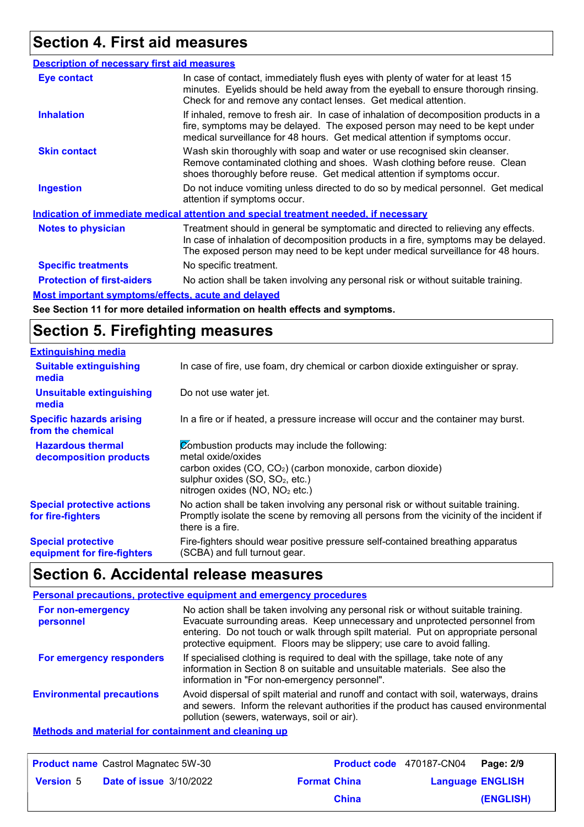### **Section 4. First aid measures**

| <b>Description of necessary first aid measures</b>                    |                                                                                                                                                                                                                                                             |
|-----------------------------------------------------------------------|-------------------------------------------------------------------------------------------------------------------------------------------------------------------------------------------------------------------------------------------------------------|
| <b>Eye contact</b>                                                    | In case of contact, immediately flush eyes with plenty of water for at least 15<br>minutes. Eyelids should be held away from the eyeball to ensure thorough rinsing.<br>Check for and remove any contact lenses. Get medical attention.                     |
| <b>Inhalation</b>                                                     | If inhaled, remove to fresh air. In case of inhalation of decomposition products in a<br>fire, symptoms may be delayed. The exposed person may need to be kept under<br>medical surveillance for 48 hours. Get medical attention if symptoms occur.         |
| <b>Skin contact</b>                                                   | Wash skin thoroughly with soap and water or use recognised skin cleanser.<br>Remove contaminated clothing and shoes. Wash clothing before reuse. Clean<br>shoes thoroughly before reuse. Get medical attention if symptoms occur.                           |
| <b>Ingestion</b>                                                      | Do not induce vomiting unless directed to do so by medical personnel. Get medical<br>attention if symptoms occur.                                                                                                                                           |
|                                                                       | Indication of immediate medical attention and special treatment needed, if necessary                                                                                                                                                                        |
| <b>Notes to physician</b>                                             | Treatment should in general be symptomatic and directed to relieving any effects.<br>In case of inhalation of decomposition products in a fire, symptoms may be delayed.<br>The exposed person may need to be kept under medical surveillance for 48 hours. |
| <b>Specific treatments</b>                                            | No specific treatment.                                                                                                                                                                                                                                      |
| <b>Protection of first-aiders</b>                                     | No action shall be taken involving any personal risk or without suitable training.                                                                                                                                                                          |
| Marat bara antarat armanatanan laffa ata ya arata yan di dalarra di . |                                                                                                                                                                                                                                                             |

**Most important symptoms/effects, acute and delayed**

**See Section 11 for more detailed information on health effects and symptoms.**

### **Section 5. Firefighting measures**

| <b>Extinguishing media</b>                               |                                                                                                                                                                                                                                             |
|----------------------------------------------------------|---------------------------------------------------------------------------------------------------------------------------------------------------------------------------------------------------------------------------------------------|
| <b>Suitable extinguishing</b><br>media                   | In case of fire, use foam, dry chemical or carbon dioxide extinguisher or spray.                                                                                                                                                            |
| <b>Unsuitable extinguishing</b><br>media                 | Do not use water jet.                                                                                                                                                                                                                       |
| <b>Specific hazards arising</b><br>from the chemical     | In a fire or if heated, a pressure increase will occur and the container may burst.                                                                                                                                                         |
| <b>Hazardous thermal</b><br>decomposition products       | Combustion products may include the following:<br>metal oxide/oxides<br>carbon oxides (CO, CO <sub>2</sub> ) (carbon monoxide, carbon dioxide)<br>sulphur oxides (SO, SO <sub>2</sub> , etc.)<br>nitrogen oxides (NO, NO <sub>2</sub> etc.) |
| <b>Special protective actions</b><br>for fire-fighters   | No action shall be taken involving any personal risk or without suitable training.<br>Promptly isolate the scene by removing all persons from the vicinity of the incident if<br>there is a fire.                                           |
| <b>Special protective</b><br>equipment for fire-fighters | Fire-fighters should wear positive pressure self-contained breathing apparatus<br>(SCBA) and full turnout gear.                                                                                                                             |

### **Section 6. Accidental release measures**

#### **Personal precautions, protective equipment and emergency procedures**

| For non-emergency<br>personnel   | No action shall be taken involving any personal risk or without suitable training.<br>Evacuate surrounding areas. Keep unnecessary and unprotected personnel from<br>entering. Do not touch or walk through spilt material. Put on appropriate personal<br>protective equipment. Floors may be slippery; use care to avoid falling. |
|----------------------------------|-------------------------------------------------------------------------------------------------------------------------------------------------------------------------------------------------------------------------------------------------------------------------------------------------------------------------------------|
| For emergency responders         | If specialised clothing is required to deal with the spillage, take note of any<br>information in Section 8 on suitable and unsuitable materials. See also the<br>information in "For non-emergency personnel".                                                                                                                     |
| <b>Environmental precautions</b> | Avoid dispersal of spilt material and runoff and contact with soil, waterways, drains<br>and sewers. Inform the relevant authorities if the product has caused environmental<br>pollution (sewers, waterways, soil or air).                                                                                                         |
|                                  |                                                                                                                                                                                                                                                                                                                                     |

#### **Methods and material for containment and cleaning up**

| <b>Product name</b> Castrol Magnatec 5W-30 |                                |                     | Product code 470187-CN04 | Page: 2/9 |
|--------------------------------------------|--------------------------------|---------------------|--------------------------|-----------|
| <b>Version 5</b>                           | <b>Date of issue 3/10/2022</b> | <b>Format China</b> | <b>Language ENGLISH</b>  |           |
|                                            |                                | <b>China</b>        |                          | (ENGLISH) |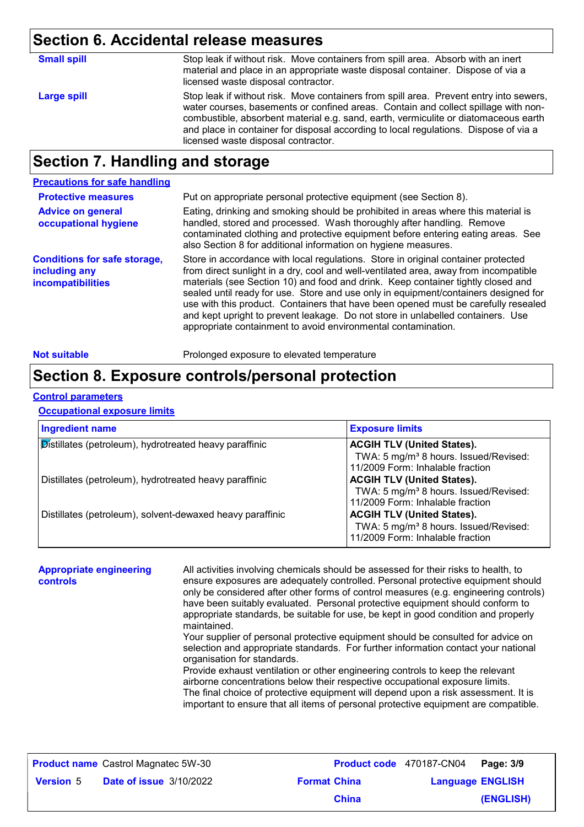### **Section 6. Accidental release measures**

| <b>Large spill</b><br>licensed waste disposal contractor. | <b>Small spill</b> | Stop leak if without risk. Move containers from spill area. Absorb with an inert<br>material and place in an appropriate waste disposal container. Dispose of via a<br>licensed waste disposal contractor.                                                                                                                                                  |
|-----------------------------------------------------------|--------------------|-------------------------------------------------------------------------------------------------------------------------------------------------------------------------------------------------------------------------------------------------------------------------------------------------------------------------------------------------------------|
|                                                           |                    | Stop leak if without risk. Move containers from spill area. Prevent entry into sewers,<br>water courses, basements or confined areas. Contain and collect spillage with non-<br>combustible, absorbent material e.g. sand, earth, vermiculite or diatomaceous earth<br>and place in container for disposal according to local regulations. Dispose of via a |

### **Section 7. Handling and storage**

#### **Protective measures Conditions for safe storage, including any incompatibilities** Eating, drinking and smoking should be prohibited in areas where this material is handled, stored and processed. Wash thoroughly after handling. Remove contaminated clothing and protective equipment before entering eating areas. See also Section 8 for additional information on hygiene measures. **Advice on general occupational hygiene** Put on appropriate personal protective equipment (see Section 8). **Precautions for safe handling** Store in accordance with local regulations. Store in original container protected from direct sunlight in a dry, cool and well-ventilated area, away from incompatible materials (see Section 10) and food and drink. Keep container tightly closed and sealed until ready for use. Store and use only in equipment/containers designed for use with this product. Containers that have been opened must be carefully resealed and kept upright to prevent leakage. Do not store in unlabelled containers. Use appropriate containment to avoid environmental contamination.

**Not suitable Not suitable** Prolonged exposure to elevated temperature

### **Section 8. Exposure controls/personal protection**

#### **Control parameters**

#### **Occupational exposure limits**

| <b>Ingredient name</b>                                    | <b>Exposure limits</b>                            |
|-----------------------------------------------------------|---------------------------------------------------|
| Distillates (petroleum), hydrotreated heavy paraffinic    | <b>ACGIH TLV (United States).</b>                 |
|                                                           | TWA: 5 mg/m <sup>3</sup> 8 hours. Issued/Revised: |
|                                                           | 11/2009 Form: Inhalable fraction                  |
| Distillates (petroleum), hydrotreated heavy paraffinic    | <b>ACGIH TLV (United States).</b>                 |
|                                                           | TWA: 5 mg/m <sup>3</sup> 8 hours. Issued/Revised: |
|                                                           | 11/2009 Form: Inhalable fraction                  |
| Distillates (petroleum), solvent-dewaxed heavy paraffinic | <b>ACGIH TLV (United States).</b>                 |
|                                                           | TWA: 5 mg/m <sup>3</sup> 8 hours. Issued/Revised: |
|                                                           | 11/2009 Form: Inhalable fraction                  |

| <b>Appropriate engineering</b><br>controls | All activities involving chemicals should be assessed for their risks to health, to<br>ensure exposures are adequately controlled. Personal protective equipment should<br>only be considered after other forms of control measures (e.g. engineering controls)<br>have been suitably evaluated. Personal protective equipment should conform to<br>appropriate standards, be suitable for use, be kept in good condition and properly<br>maintained.<br>Your supplier of personal protective equipment should be consulted for advice on<br>selection and appropriate standards. For further information contact your national<br>organisation for standards.<br>Provide exhaust ventilation or other engineering controls to keep the relevant<br>airborne concentrations below their respective occupational exposure limits.<br>The final choice of protective equipment will depend upon a risk assessment. It is<br>important to ensure that all items of personal protective equipment are compatible. |
|--------------------------------------------|---------------------------------------------------------------------------------------------------------------------------------------------------------------------------------------------------------------------------------------------------------------------------------------------------------------------------------------------------------------------------------------------------------------------------------------------------------------------------------------------------------------------------------------------------------------------------------------------------------------------------------------------------------------------------------------------------------------------------------------------------------------------------------------------------------------------------------------------------------------------------------------------------------------------------------------------------------------------------------------------------------------|
|                                            |                                                                                                                                                                                                                                                                                                                                                                                                                                                                                                                                                                                                                                                                                                                                                                                                                                                                                                                                                                                                               |

|                  | <b>Product name</b> Castrol Magnatec 5W-30 |                     |              | Product code 470187-CN04 Page: 3/9 |           |
|------------------|--------------------------------------------|---------------------|--------------|------------------------------------|-----------|
| <b>Version 5</b> | <b>Date of issue 3/10/2022</b>             | <b>Format China</b> |              | <b>Language ENGLISH</b>            |           |
|                  |                                            |                     | <b>China</b> |                                    | (ENGLISH) |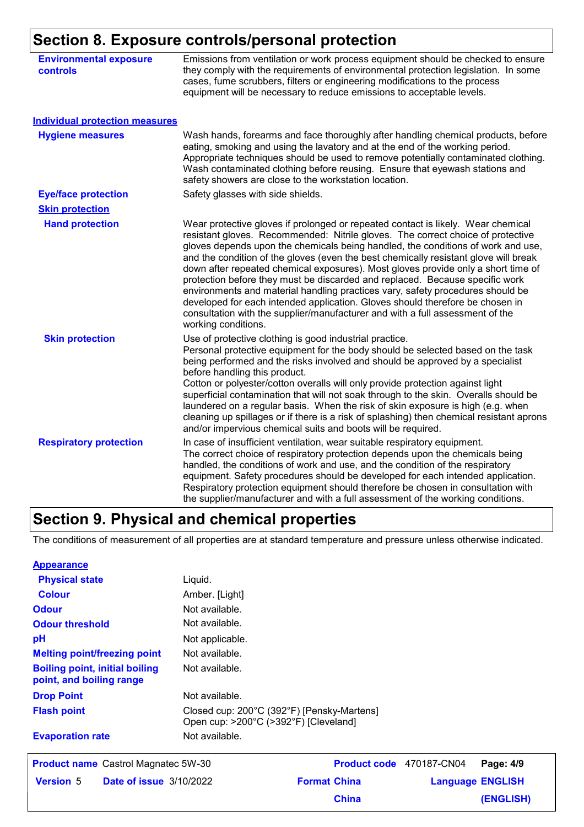### **Section 8. Exposure controls/personal protection**

| <b>Environmental exposure</b><br><b>controls</b> | Emissions from ventilation or work process equipment should be checked to ensure<br>they comply with the requirements of environmental protection legislation. In some<br>cases, fume scrubbers, filters or engineering modifications to the process<br>equipment will be necessary to reduce emissions to acceptable levels.                                                                                                                                                                                                                                                                                                                                                                                                                                                                   |
|--------------------------------------------------|-------------------------------------------------------------------------------------------------------------------------------------------------------------------------------------------------------------------------------------------------------------------------------------------------------------------------------------------------------------------------------------------------------------------------------------------------------------------------------------------------------------------------------------------------------------------------------------------------------------------------------------------------------------------------------------------------------------------------------------------------------------------------------------------------|
| <b>Individual protection measures</b>            |                                                                                                                                                                                                                                                                                                                                                                                                                                                                                                                                                                                                                                                                                                                                                                                                 |
| <b>Hygiene measures</b>                          | Wash hands, forearms and face thoroughly after handling chemical products, before<br>eating, smoking and using the lavatory and at the end of the working period.<br>Appropriate techniques should be used to remove potentially contaminated clothing.<br>Wash contaminated clothing before reusing. Ensure that eyewash stations and<br>safety showers are close to the workstation location.                                                                                                                                                                                                                                                                                                                                                                                                 |
| <b>Eye/face protection</b>                       | Safety glasses with side shields.                                                                                                                                                                                                                                                                                                                                                                                                                                                                                                                                                                                                                                                                                                                                                               |
| <b>Skin protection</b>                           |                                                                                                                                                                                                                                                                                                                                                                                                                                                                                                                                                                                                                                                                                                                                                                                                 |
| <b>Hand protection</b>                           | Wear protective gloves if prolonged or repeated contact is likely. Wear chemical<br>resistant gloves. Recommended: Nitrile gloves. The correct choice of protective<br>gloves depends upon the chemicals being handled, the conditions of work and use,<br>and the condition of the gloves (even the best chemically resistant glove will break<br>down after repeated chemical exposures). Most gloves provide only a short time of<br>protection before they must be discarded and replaced. Because specific work<br>environments and material handling practices vary, safety procedures should be<br>developed for each intended application. Gloves should therefore be chosen in<br>consultation with the supplier/manufacturer and with a full assessment of the<br>working conditions. |
| <b>Skin protection</b>                           | Use of protective clothing is good industrial practice.<br>Personal protective equipment for the body should be selected based on the task<br>being performed and the risks involved and should be approved by a specialist<br>before handling this product.<br>Cotton or polyester/cotton overalls will only provide protection against light<br>superficial contamination that will not soak through to the skin. Overalls should be<br>laundered on a regular basis. When the risk of skin exposure is high (e.g. when<br>cleaning up spillages or if there is a risk of splashing) then chemical resistant aprons<br>and/or impervious chemical suits and boots will be required.                                                                                                           |
| <b>Respiratory protection</b>                    | In case of insufficient ventilation, wear suitable respiratory equipment.<br>The correct choice of respiratory protection depends upon the chemicals being<br>handled, the conditions of work and use, and the condition of the respiratory<br>equipment. Safety procedures should be developed for each intended application.<br>Respiratory protection equipment should therefore be chosen in consultation with<br>the supplier/manufacturer and with a full assessment of the working conditions.                                                                                                                                                                                                                                                                                           |

## **Section 9. Physical and chemical properties**

The conditions of measurement of all properties are at standard temperature and pressure unless otherwise indicated.

| <b>Appearance</b>                                                 |                                                                                     |                     |                          |                         |
|-------------------------------------------------------------------|-------------------------------------------------------------------------------------|---------------------|--------------------------|-------------------------|
| <b>Physical state</b>                                             | Liquid.                                                                             |                     |                          |                         |
| <b>Colour</b>                                                     | Amber. [Light]                                                                      |                     |                          |                         |
| <b>Odour</b>                                                      | Not available.                                                                      |                     |                          |                         |
| <b>Odour threshold</b>                                            | Not available.                                                                      |                     |                          |                         |
| pH                                                                | Not applicable.                                                                     |                     |                          |                         |
| <b>Melting point/freezing point</b>                               | Not available.                                                                      |                     |                          |                         |
| <b>Boiling point, initial boiling</b><br>point, and boiling range | Not available.                                                                      |                     |                          |                         |
| <b>Drop Point</b>                                                 | Not available.                                                                      |                     |                          |                         |
| <b>Flash point</b>                                                | Closed cup: 200°C (392°F) [Pensky-Martens]<br>Open cup: >200°C (>392°F) [Cleveland] |                     |                          |                         |
| <b>Evaporation rate</b>                                           | Not available.                                                                      |                     |                          |                         |
| <b>Product name</b> Castrol Magnatec 5W-30                        |                                                                                     |                     | Product code 470187-CN04 | Page: 4/9               |
| <b>Version 5</b><br><b>Date of issue 3/10/2022</b>                |                                                                                     | <b>Format China</b> |                          | <b>Language ENGLISH</b> |
|                                                                   |                                                                                     | <b>China</b>        |                          | (ENGLISH)               |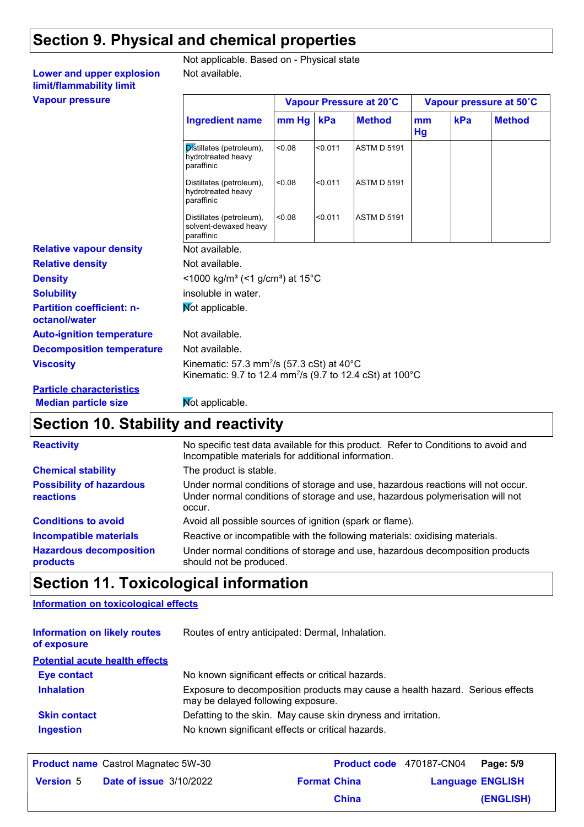### **Section 9. Physical and chemical properties**

Not available.

#### Not applicable. Based on - Physical state

**Vapour pressure Lower and upper explosion limit/flammability limit**

| <b>Vapour pressure</b>                            |                                                                                                                                                    |           |         | Vapour Pressure at 20°C |          |     | Vapour pressure at 50°C |
|---------------------------------------------------|----------------------------------------------------------------------------------------------------------------------------------------------------|-----------|---------|-------------------------|----------|-----|-------------------------|
|                                                   | <b>Ingredient name</b>                                                                                                                             | mm Hg kPa |         | <b>Method</b>           | mm<br>Hg | kPa | <b>Method</b>           |
|                                                   | Distillates (petroleum),<br>hydrotreated heavy<br>paraffinic                                                                                       | < 0.08    | < 0.011 | <b>ASTM D 5191</b>      |          |     |                         |
|                                                   | Distillates (petroleum),<br>hydrotreated heavy<br>paraffinic                                                                                       | < 0.08    | < 0.011 | <b>ASTM D 5191</b>      |          |     |                         |
|                                                   | Distillates (petroleum),<br>solvent-dewaxed heavy<br>paraffinic                                                                                    | < 0.08    | < 0.011 | <b>ASTM D 5191</b>      |          |     |                         |
| <b>Relative vapour density</b>                    | Not available.                                                                                                                                     |           |         |                         |          |     |                         |
| <b>Relative density</b>                           | Not available.                                                                                                                                     |           |         |                         |          |     |                         |
| <b>Density</b>                                    | <1000 kg/m <sup>3</sup> (<1 g/cm <sup>3</sup> ) at 15 <sup>°</sup> C                                                                               |           |         |                         |          |     |                         |
| <b>Solubility</b>                                 | insoluble in water.                                                                                                                                |           |         |                         |          |     |                         |
| <b>Partition coefficient: n-</b><br>octanol/water | Mot applicable.                                                                                                                                    |           |         |                         |          |     |                         |
| <b>Auto-ignition temperature</b>                  | Not available.                                                                                                                                     |           |         |                         |          |     |                         |
| <b>Decomposition temperature</b>                  | Not available.                                                                                                                                     |           |         |                         |          |     |                         |
| <b>Viscosity</b>                                  | Kinematic: 57.3 mm <sup>2</sup> /s (57.3 cSt) at $40^{\circ}$ C<br>Kinematic: 9.7 to 12.4 mm <sup>2</sup> /s (9.7 to 12.4 cSt) at 100 $^{\circ}$ C |           |         |                         |          |     |                         |
| <b>Particle characteristics</b>                   |                                                                                                                                                    |           |         |                         |          |     |                         |

#### **Median particle size Mot applicable.**

### **Section 10. Stability and reactivity**

| <b>Reactivity</b>                            | No specific test data available for this product. Refer to Conditions to avoid and<br>Incompatible materials for additional information.                                   |
|----------------------------------------------|----------------------------------------------------------------------------------------------------------------------------------------------------------------------------|
| <b>Chemical stability</b>                    | The product is stable.                                                                                                                                                     |
| <b>Possibility of hazardous</b><br>reactions | Under normal conditions of storage and use, hazardous reactions will not occur.<br>Under normal conditions of storage and use, hazardous polymerisation will not<br>occur. |
| <b>Conditions to avoid</b>                   | Avoid all possible sources of ignition (spark or flame).                                                                                                                   |
| <b>Incompatible materials</b>                | Reactive or incompatible with the following materials: oxidising materials.                                                                                                |
| <b>Hazardous decomposition</b><br>products   | Under normal conditions of storage and use, hazardous decomposition products<br>should not be produced.                                                                    |
|                                              |                                                                                                                                                                            |

### **Section 11. Toxicological information**

#### **Information on toxicological effects**

| <b>Information on likely routes</b><br>of exposure | Routes of entry anticipated: Dermal, Inhalation.                                                                    |
|----------------------------------------------------|---------------------------------------------------------------------------------------------------------------------|
| <b>Potential acute health effects</b>              |                                                                                                                     |
| <b>Eye contact</b>                                 | No known significant effects or critical hazards.                                                                   |
| <b>Inhalation</b>                                  | Exposure to decomposition products may cause a health hazard. Serious effects<br>may be delayed following exposure. |
| <b>Skin contact</b>                                | Defatting to the skin. May cause skin dryness and irritation.                                                       |
| <b>Ingestion</b>                                   | No known significant effects or critical hazards.                                                                   |

|                  | <b>Product name</b> Castrol Magnatec 5W-30 |                     | Product code 470187-CN04 Page: 5/9 |           |
|------------------|--------------------------------------------|---------------------|------------------------------------|-----------|
| <b>Version 5</b> | <b>Date of issue 3/10/2022</b>             | <b>Format China</b> | <b>Language ENGLISH</b>            |           |
|                  |                                            | <b>China</b>        |                                    | (ENGLISH) |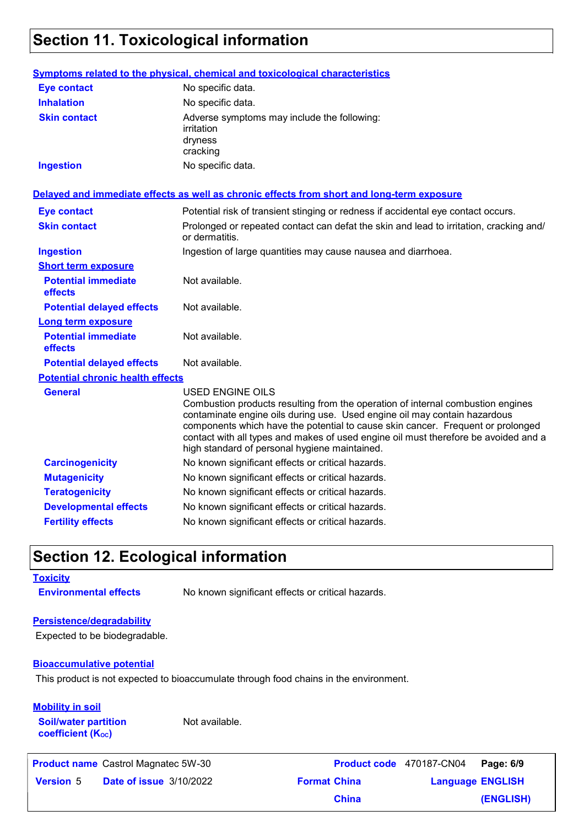### **Section 11. Toxicological information**

|                                         | Symptoms related to the physical, chemical and toxicological characteristics                                                                                                                                                                                                                                                                                                                                       |
|-----------------------------------------|--------------------------------------------------------------------------------------------------------------------------------------------------------------------------------------------------------------------------------------------------------------------------------------------------------------------------------------------------------------------------------------------------------------------|
| <b>Eye contact</b>                      | No specific data.                                                                                                                                                                                                                                                                                                                                                                                                  |
| <b>Inhalation</b>                       | No specific data.                                                                                                                                                                                                                                                                                                                                                                                                  |
| <b>Skin contact</b>                     | Adverse symptoms may include the following:<br>irritation<br>dryness<br>cracking                                                                                                                                                                                                                                                                                                                                   |
| <b>Ingestion</b>                        | No specific data.                                                                                                                                                                                                                                                                                                                                                                                                  |
|                                         | Delayed and immediate effects as well as chronic effects from short and long-term exposure                                                                                                                                                                                                                                                                                                                         |
| <b>Eye contact</b>                      | Potential risk of transient stinging or redness if accidental eye contact occurs.                                                                                                                                                                                                                                                                                                                                  |
| <b>Skin contact</b>                     | Prolonged or repeated contact can defat the skin and lead to irritation, cracking and/<br>or dermatitis.                                                                                                                                                                                                                                                                                                           |
| <b>Ingestion</b>                        | Ingestion of large quantities may cause nausea and diarrhoea.                                                                                                                                                                                                                                                                                                                                                      |
| <b>Short term exposure</b>              |                                                                                                                                                                                                                                                                                                                                                                                                                    |
| <b>Potential immediate</b><br>effects   | Not available.                                                                                                                                                                                                                                                                                                                                                                                                     |
| <b>Potential delayed effects</b>        | Not available.                                                                                                                                                                                                                                                                                                                                                                                                     |
| Long term exposure                      |                                                                                                                                                                                                                                                                                                                                                                                                                    |
| <b>Potential immediate</b><br>effects   | Not available.                                                                                                                                                                                                                                                                                                                                                                                                     |
| <b>Potential delayed effects</b>        | Not available.                                                                                                                                                                                                                                                                                                                                                                                                     |
| <b>Potential chronic health effects</b> |                                                                                                                                                                                                                                                                                                                                                                                                                    |
| <b>General</b>                          | <b>USED ENGINE OILS</b><br>Combustion products resulting from the operation of internal combustion engines<br>contaminate engine oils during use. Used engine oil may contain hazardous<br>components which have the potential to cause skin cancer. Frequent or prolonged<br>contact with all types and makes of used engine oil must therefore be avoided and a<br>high standard of personal hygiene maintained. |
| <b>Carcinogenicity</b>                  | No known significant effects or critical hazards.                                                                                                                                                                                                                                                                                                                                                                  |
| <b>Mutagenicity</b>                     | No known significant effects or critical hazards.                                                                                                                                                                                                                                                                                                                                                                  |
| <b>Teratogenicity</b>                   | No known significant effects or critical hazards.                                                                                                                                                                                                                                                                                                                                                                  |
| <b>Developmental effects</b>            | No known significant effects or critical hazards.                                                                                                                                                                                                                                                                                                                                                                  |
| <b>Fertility effects</b>                | No known significant effects or critical hazards.                                                                                                                                                                                                                                                                                                                                                                  |

### **Section 12. Ecological information**

#### **Toxicity**

**Environmental effects** No known significant effects or critical hazards.

#### **Persistence/degradability**

Expected to be biodegradable.

#### **Bioaccumulative potential**

This product is not expected to bioaccumulate through food chains in the environment.

#### **Mobility in soil**

**Soil/water partition coefficient (KOC)**

Not available.

**Product name** Castrol Magnatec 5W-30

**Date of issue Version** 5 **Format China Language** 3/10/2022Castrol Magnatec 5W-30 **Product code** 470187-CN04 **Page: 6/9** | **Language ENGLISH (ENGLISH) China**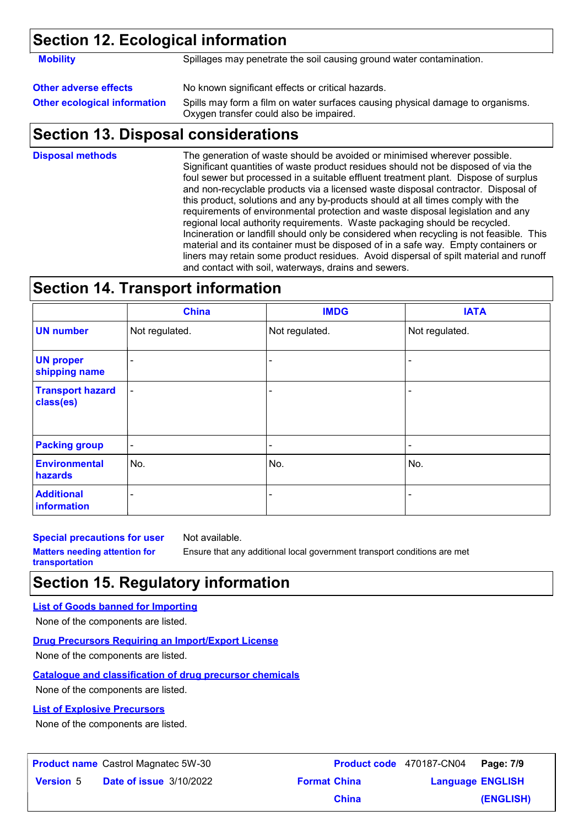### **Section 12. Ecological information**

**Mobility** Spillages may penetrate the soil causing ground water contamination.

### **Other adverse effects** No known significant effects or critical hazards.

**Other ecological information** Spills may form a film on water surfaces causing physical damage to organisms. Oxygen transfer could also be impaired.

### **Section 13. Disposal considerations**

The generation of waste should be avoided or minimised wherever possible. Significant quantities of waste product residues should not be disposed of via the foul sewer but processed in a suitable effluent treatment plant. Dispose of surplus and non-recyclable products via a licensed waste disposal contractor. Disposal of this product, solutions and any by-products should at all times comply with the requirements of environmental protection and waste disposal legislation and any regional local authority requirements. Waste packaging should be recycled. Incineration or landfill should only be considered when recycling is not feasible. This material and its container must be disposed of in a safe way. Empty containers or liners may retain some product residues. Avoid dispersal of spilt material and runoff and contact with soil, waterways, drains and sewers. **Disposal methods**

### **Section 14. Transport information**

|                                      | <b>China</b>             | <b>IMDG</b>              | <b>IATA</b>    |
|--------------------------------------|--------------------------|--------------------------|----------------|
| <b>UN number</b>                     | Not regulated.           | Not regulated.           | Not regulated. |
| <b>UN proper</b><br>shipping name    | ۰                        |                          | ٠              |
| <b>Transport hazard</b><br>class(es) | $\blacksquare$           | -                        | ۰              |
| <b>Packing group</b>                 | $\overline{\phantom{a}}$ | $\overline{\phantom{a}}$ |                |
| <b>Environmental</b><br>hazards      | No.                      | No.                      | No.            |
| <b>Additional</b><br>information     | ۰                        | $\blacksquare$           | $\blacksquare$ |

**Special precautions for user**

Not available.

**Matters needing attention for transportation**

Ensure that any additional local government transport conditions are met

## **Section 15. Regulatory information**

#### **List of Goods banned for Importing**

None of the components are listed.

#### **Drug Precursors Requiring an Import/Export License**

None of the components are listed.

#### **Catalogue and classification of drug precursor chemicals**

None of the components are listed.

#### **List of Explosive Precursors**

None of the components are listed.

|                  | <b>Product name</b> Castrol Magnatec 5W-30 |                     | Product code 470187-CN04 | Page: 7/9 |
|------------------|--------------------------------------------|---------------------|--------------------------|-----------|
| <b>Version 5</b> | <b>Date of issue 3/10/2022</b>             | <b>Format China</b> | <b>Language ENGLISH</b>  |           |
|                  |                                            | <b>China</b>        |                          | (ENGLISH) |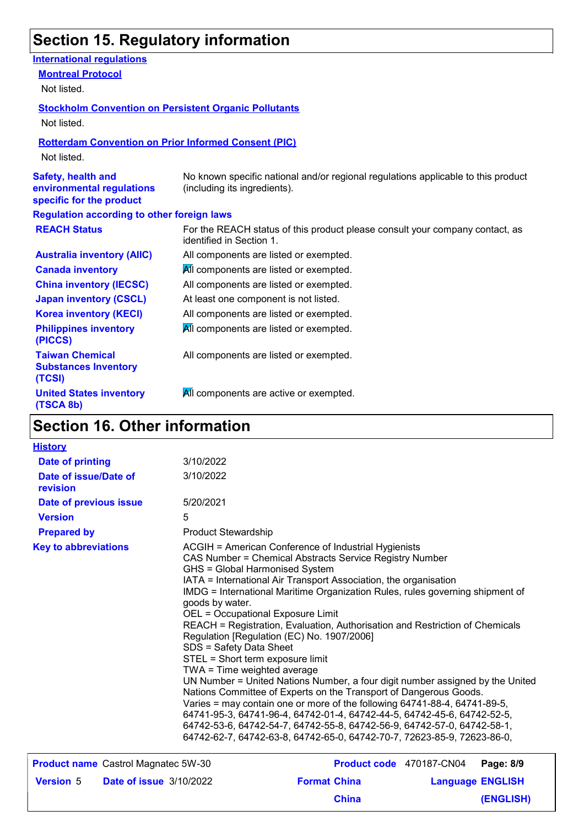# **Section 15. Regulatory information**

| <b>International regulations</b>                                                   |                                                                                                                   |
|------------------------------------------------------------------------------------|-------------------------------------------------------------------------------------------------------------------|
| <b>Montreal Protocol</b>                                                           |                                                                                                                   |
| Not listed.                                                                        |                                                                                                                   |
| <b>Stockholm Convention on Persistent Organic Pollutants</b>                       |                                                                                                                   |
| Not listed.                                                                        |                                                                                                                   |
| <b>Rotterdam Convention on Prior Informed Consent (PIC)</b>                        |                                                                                                                   |
| Not listed.                                                                        |                                                                                                                   |
| <b>Safety, health and</b><br>environmental regulations<br>specific for the product | No known specific national and/or regional regulations applicable to this product<br>(including its ingredients). |
| <b>Regulation according to other foreign laws</b>                                  |                                                                                                                   |
| <b>REACH Status</b>                                                                | For the REACH status of this product please consult your company contact, as<br>identified in Section 1.          |
| <b>Australia inventory (AIIC)</b>                                                  | All components are listed or exempted.                                                                            |
| <b>Canada inventory</b>                                                            | All components are listed or exempted.                                                                            |
| <b>China inventory (IECSC)</b>                                                     | All components are listed or exempted.                                                                            |
| <b>Japan inventory (CSCL)</b>                                                      | At least one component is not listed.                                                                             |
| <b>Korea inventory (KECI)</b>                                                      | All components are listed or exempted.                                                                            |
| <b>Philippines inventory</b><br>(PICCS)                                            | All components are listed or exempted.                                                                            |
| <b>Taiwan Chemical</b><br><b>Substances Inventory</b><br>(TCSI)                    | All components are listed or exempted.                                                                            |
| <b>United States inventory</b><br>(TSCA 8b)                                        | All components are active or exempted.                                                                            |

## **Section 16. Other information**

| <b>History</b>                             |                                                                                                                                                                                             |                                                                                                                                                                                                                                                                                                                                                                                                                                                                                                                                                                                                                                                                                                                                                                                                                                                                        |                         |
|--------------------------------------------|---------------------------------------------------------------------------------------------------------------------------------------------------------------------------------------------|------------------------------------------------------------------------------------------------------------------------------------------------------------------------------------------------------------------------------------------------------------------------------------------------------------------------------------------------------------------------------------------------------------------------------------------------------------------------------------------------------------------------------------------------------------------------------------------------------------------------------------------------------------------------------------------------------------------------------------------------------------------------------------------------------------------------------------------------------------------------|-------------------------|
| Date of printing                           | 3/10/2022                                                                                                                                                                                   |                                                                                                                                                                                                                                                                                                                                                                                                                                                                                                                                                                                                                                                                                                                                                                                                                                                                        |                         |
| Date of issue/Date of<br>revision          | 3/10/2022                                                                                                                                                                                   |                                                                                                                                                                                                                                                                                                                                                                                                                                                                                                                                                                                                                                                                                                                                                                                                                                                                        |                         |
| Date of previous issue                     | 5/20/2021                                                                                                                                                                                   |                                                                                                                                                                                                                                                                                                                                                                                                                                                                                                                                                                                                                                                                                                                                                                                                                                                                        |                         |
| <b>Version</b>                             | 5                                                                                                                                                                                           |                                                                                                                                                                                                                                                                                                                                                                                                                                                                                                                                                                                                                                                                                                                                                                                                                                                                        |                         |
| <b>Prepared by</b>                         | <b>Product Stewardship</b>                                                                                                                                                                  |                                                                                                                                                                                                                                                                                                                                                                                                                                                                                                                                                                                                                                                                                                                                                                                                                                                                        |                         |
| <b>Key to abbreviations</b>                | GHS = Global Harmonised System<br>goods by water.<br><b>OEL = Occupational Exposure Limit</b><br>SDS = Safety Data Sheet<br>STEL = Short term exposure limit<br>TWA = Time weighted average | ACGIH = American Conference of Industrial Hygienists<br>CAS Number = Chemical Abstracts Service Registry Number<br>IATA = International Air Transport Association, the organisation<br>IMDG = International Maritime Organization Rules, rules governing shipment of<br>REACH = Registration, Evaluation, Authorisation and Restriction of Chemicals<br>Regulation [Regulation (EC) No. 1907/2006]<br>UN Number = United Nations Number, a four digit number assigned by the United<br>Nations Committee of Experts on the Transport of Dangerous Goods.<br>Varies = may contain one or more of the following 64741-88-4, 64741-89-5,<br>64741-95-3, 64741-96-4, 64742-01-4, 64742-44-5, 64742-45-6, 64742-52-5,<br>64742-53-6, 64742-54-7, 64742-55-8, 64742-56-9, 64742-57-0, 64742-58-1,<br>64742-62-7, 64742-63-8, 64742-65-0, 64742-70-7, 72623-85-9, 72623-86-0, |                         |
| <b>Product name</b> Castrol Magnatec 5W-30 |                                                                                                                                                                                             | Product code 470187-CN04                                                                                                                                                                                                                                                                                                                                                                                                                                                                                                                                                                                                                                                                                                                                                                                                                                               | Page: 8/9               |
| <b>Version 5</b>                           | <b>Date of issue 3/10/2022</b>                                                                                                                                                              | <b>Format China</b>                                                                                                                                                                                                                                                                                                                                                                                                                                                                                                                                                                                                                                                                                                                                                                                                                                                    | <b>Language ENGLISH</b> |
|                                            |                                                                                                                                                                                             | <b>China</b>                                                                                                                                                                                                                                                                                                                                                                                                                                                                                                                                                                                                                                                                                                                                                                                                                                                           | <b>(ENGLISH)</b>        |